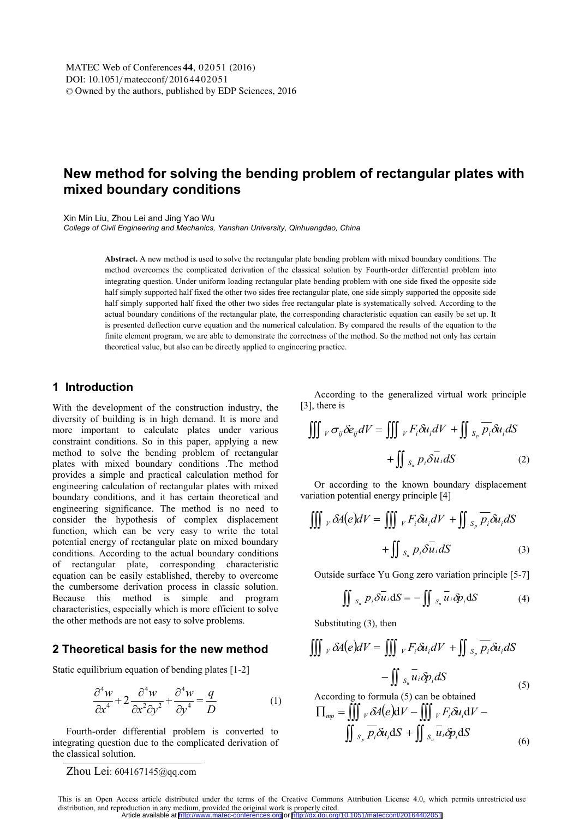# **New method for solving the bending problem of rectangular plates with mixed boundary conditions**

Xin Min Liu, Zhou Lei and Jing Yao Wu

*College of Civil Engineering and Mechanics, Yanshan University, Qinhuangdao, China* 

**Abstract.** A new method is used to solve the rectangular plate bending problem with mixed boundary conditions. The method overcomes the complicated derivation of the classical solution by Fourth-order differential problem into integrating question. Under uniform loading rectangular plate bending problem with one side fixed the opposite side half simply supported half fixed the other two sides free rectangular plate, one side simply supported the opposite side half simply supported half fixed the other two sides free rectangular plate is systematically solved. According to the actual boundary conditions of the rectangular plate, the corresponding characteristic equation can easily be set up. It is presented deflection curve equation and the numerical calculation. By compared the results of the equation to the finite element program, we are able to demonstrate the correctness of the method. So the method not only has certain theoretical value, but also can be directly applied to engineering practice.

## **1 Introduction**

With the development of the construction industry, the diversity of building is in high demand. It is more and more important to calculate plates under various constraint conditions. So in this paper, applying a new method to solve the bending problem of rectangular plates with mixed boundary conditions .The method provides a simple and practical calculation method for engineering calculation of rectangular plates with mixed boundary conditions, and it has certain theoretical and engineering significance. The method is no need to consider the hypothesis of complex displacement function, which can be very easy to write the total potential energy of rectangular plate on mixed boundary conditions. According to the actual boundary conditions of rectangular plate, corresponding characteristic equation can be easily established, thereby to overcome the cumbersome derivation process in classic solution. Because this method is simple and program characteristics, especially which is more efficient to solve the other methods are not easy to solve problems.

## **2 Theoretical basis for the new method**

Static equilibrium equation of bending plates [1-2]

$$
\frac{\partial^4 w}{\partial x^4} + 2 \frac{\partial^4 w}{\partial x^2 \partial y^2} + \frac{\partial^4 w}{\partial y^4} = \frac{q}{D}
$$
 (1)

Fourth-order differential problem is converted to integrating question due to the complicated derivation of the classical solution.

Zhou Lei: 604167145@qq.com

According to the generalized virtual work principle [3], there is

$$
\iiint_{V} \sigma_{ij} \delta e_{ij} dV = \iiint_{V} F_{i} \delta u_{i} dV + \iint_{S_{p}} \overline{p_{i}} \delta u_{i} dS
$$

$$
+ \iint_{S_{u}} p_{i} \delta \overline{u_{i}} dS \qquad (2)
$$

Or according to the known boundary displacement variation potential energy principle [4]

$$
\iiint_{V} \delta A(e)dV = \iiint_{V} F_{i} \delta u_{i}dV + \iint_{S_{p}} \overline{p_{i}} \delta u_{i}dS
$$

$$
+ \iint_{S_{u}} p_{i} \delta \overline{u_{i}}dS \qquad (3)
$$

Outside surface Yu Gong zero variation principle [5-7]

$$
\iint_{S_u} P_i \overline{\partial u_i} dS = - \iint_{S_u} \overline{u_i} \overline{\partial p_i} dS \tag{4}
$$

Substituting (3), then

$$
\iiint_{V} \delta A(e)dV = \iiint_{V} F_{i} \delta u_{i}dV + \iint_{S_{p}} \overline{p_{i}} \delta u_{i}dS
$$

$$
- \iint_{S_{u}} \overline{u_{i}} \delta p_{i}dS
$$
  
According to formula (5) can be obtained

 $\prod_{mp}$  =  $\iiint_V \delta A(e) dV - \iiint_V F_i \delta u_i dV$  –

$$
\iint_{S_p} \overline{p_i} \delta u_i \, \mathrm{d}S + \iint_{S_u} \overline{u_i} \delta p_i \, \mathrm{d}S \tag{6}
$$

This is an Open Access article distributed under the terms of the Creative Commons Attribution License 4.0, which permits unrestricted use distribution, and reproduction in any medium, provided the original work is properly cited. Article available at <http://www.matec-conferences.org> or <http://dx.doi.org/10.1051/matecconf/20164402051>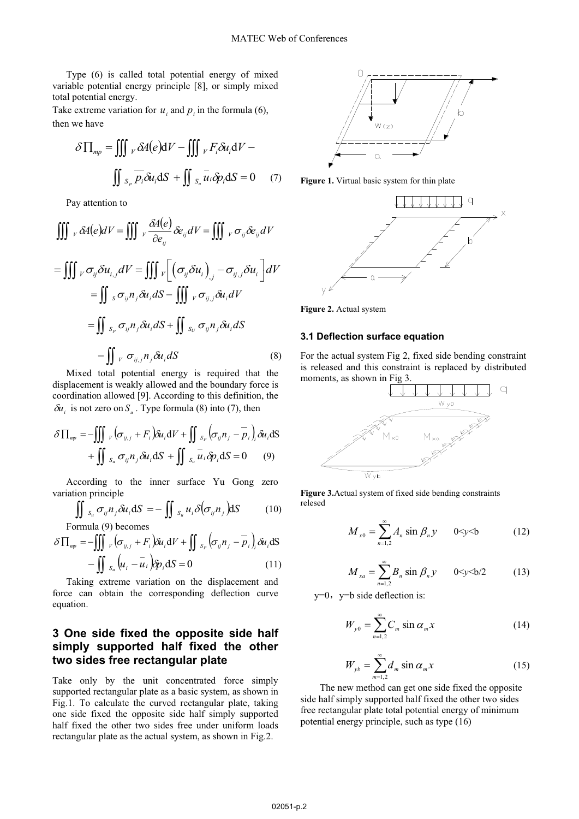Type (6) is called total potential energy of mixed variable potential energy principle [8], or simply mixed total potential energy.

Take extreme variation for  $u_i$  and  $p_i$  in the formula (6), then we have

$$
\delta \prod_{mp} = \iiint_{V} \delta A(e) dV - \iiint_{V} F_{i} \delta u_{i} dV -
$$

$$
\iint_{S_{p}} \overline{p_{i}} \delta u_{i} dS + \iint_{S_{u}} \overline{u_{i}} \delta p_{i} dS = 0 \quad (7)
$$

Pay attention to

$$
\iiint_{V} \delta A(e)dV = \iiint_{V} \frac{\delta A(e)}{\partial e_{ij}} \delta e_{ij}dV = \iiint_{V} \sigma_{ij} \delta e_{ij}dV
$$

$$
= \iiint_{V} \sigma_{ij} \delta u_{i,j}dV = \iiint_{V} \left[ \left( \sigma_{ij} \delta u_{i} \right)_{,j} - \sigma_{ij,j} \delta u_{i} \right]dV
$$

$$
= \iint_{S} \sigma_{ij} n_{j} \delta u_{i}dS - \iiint_{V} \sigma_{ij,j} \delta u_{i}dV
$$

$$
= \iint_{S} s_{p} \sigma_{ij} n_{j} \delta u_{i}dS + \iint_{S} s_{ij} \sigma_{ij} n_{j} \delta u_{i}dS
$$

$$
- \iint_{V} \sigma_{ij,j} n_{j} \delta u_{i}dS \qquad (8)
$$

Mixed total potential energy is required that the displacement is weakly allowed and the boundary force is coordination allowed [9]. According to this definition, the  $\delta u_i$  is not zero on  $S_u$ . Type formula (8) into (7), then

$$
\delta \Pi_{np} = -\iiint_{V} \left( \sigma_{ij,j} + F_i \right) \delta u_i \, dV + \iint_{S_P} \left( \sigma_{ij} n_j - \overline{p}_i \right)_i \delta u_i \, dS + \iint_{S_u} \sigma_{ij} n_j \delta u_i \, dS + \iint_{S_u} \overline{u}_i \delta p_i \, dS = 0 \tag{9}
$$

According to the inner surface Yu Gong zero variation principle

$$
\iint_{S_u} \sigma_{ij} n_j \delta u_i dS = - \iint_{S_u} u_i \delta(\sigma_{ij} n_j) dS \qquad (10)
$$
  
Formula (9) becomes

$$
\delta \prod_{\substack{np}} = -\iiint_{V} \left( \sigma_{ij,j} + F_i \right) \delta u_i \, dV + \iint_{S_P} \left( \sigma_{ij} n_j - \overline{p}_i \right)_i \delta u_i \, dS
$$

$$
- \iint_{S_u} \left( u_i - \overline{u}_i \right) \delta p_i \, dS = 0 \tag{11}
$$

Taking extreme variation on the displacement and force can obtain the corresponding deflection curve equation.

## **3 One side fixed the opposite side half simply supported half fixed the other two sides free rectangular plate**

Take only by the unit concentrated force simply supported rectangular plate as a basic system, as shown in Fig.1. To calculate the curved rectangular plate, taking one side fixed the opposite side half simply supported half fixed the other two sides free under uniform loads rectangular plate as the actual system, as shown in Fig.2.



**Figure 1.** Virtual basic system for thin plate



**Figure 2.** Actual system

#### **3.1 Deflection surface equation**

For the actual system Fig 2, fixed side bending constraint is released and this constraint is replaced by distributed moments, as shown in Fig 3.



**Figure 3.**Actual system of fixed side bending constraints relesed

$$
M_{x0} = \sum_{n=1,2}^{\infty} A_n \sin \beta_n y \qquad 0 \le y \le b \tag{12}
$$

$$
M_{xa} = \sum_{n=1,2}^{\infty} B_n \sin \beta_n y \qquad 0 \le y \le b/2 \tag{13}
$$

 $y=0$ ,  $y=b$  side deflection is:

$$
W_{y0} = \sum_{n=1,2}^{\infty} C_m \sin \alpha_m x \tag{14}
$$

$$
W_{yb} = \sum_{m=1,2}^{\infty} d_m \sin \alpha_m x \tag{15}
$$

The new method can get one side fixed the opposite side half simply supported half fixed the other two sides free rectangular plate total potential energy of minimum potential energy principle, such as type (16)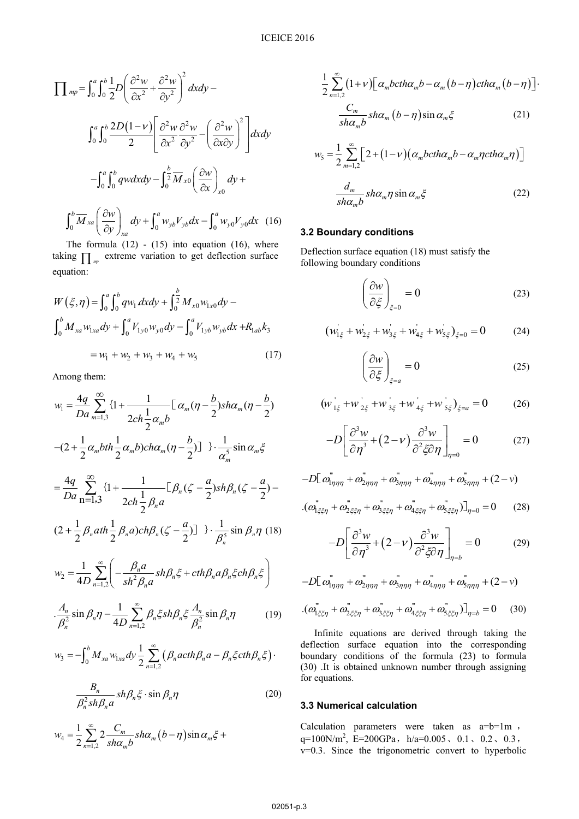$$
\prod_{mp} = \int_0^a \int_0^b \frac{1}{2} D \left( \frac{\partial^2 w}{\partial x^2} + \frac{\partial^2 w}{\partial y^2} \right)^2 dx dy -
$$
\n
$$
\int_0^a \int_0^b \frac{2D(1-v)}{2} \left[ \frac{\partial^2 w}{\partial x^2} \frac{\partial^2 w}{\partial y^2} - \left( \frac{\partial^2 w}{\partial x \partial y} \right)^2 \right] dx dy
$$
\n
$$
- \int_0^a \int_0^b qw dx dy - \int_0^b \frac{1}{2} M_{x0} \left( \frac{\partial w}{\partial x} \right)_{x0} dy +
$$
\n
$$
\int_0^b \overline{M}_{xa} \left( \frac{\partial w}{\partial y} \right)_{xa} dy + \int_0^a w_{yb} V_{yb} dx - \int_0^a w_{y0} V_{y0} dx \quad (16)
$$

The formula  $(12)$  -  $(15)$  into equation  $(16)$ , where taking  $\prod_{m}$  extreme variation to get deflection surface equation:

$$
W(\xi, \eta) = \int_0^a \int_0^b q w_1 dx dy + \int_0^b \frac{1}{2} M_{x0} w_{1x0} dy -
$$
  

$$
\int_0^b M_{xa} w_{1xa} dy + \int_0^a V_{1y0} w_{y0} dy - \int_0^a V_{1yb} w_{yb} dx + R_{1ab} k_3
$$
  

$$
= w_1 + w_2 + w_3 + w_4 + w_5
$$
 (17)

Among them:

$$
w_{1} = \frac{4q}{Da} \sum_{m=1,3}^{\infty} \{1 + \frac{1}{2ch\frac{1}{2}\alpha_{m}b} \left[ \alpha_{m}(\eta - \frac{b}{2})sh\alpha_{m}(\eta - \frac{b}{2}) \right]
$$
  
\n
$$
-(2 + \frac{1}{2}\alpha_{m}bth\frac{1}{2}\alpha_{m}b)ch\alpha_{m}(\eta - \frac{b}{2}) \} \cdot \frac{1}{\alpha_{m}^{5}}sin\alpha_{m}\xi
$$
  
\n
$$
= \frac{4q}{Da} \sum_{n=1,3}^{\infty} \{1 + \frac{1}{2ch\frac{1}{2}\beta_{n}a} \left[ \beta_{n}(\zeta - \frac{a}{2})sh\beta_{n}(\zeta - \frac{a}{2}) - \right]
$$
  
\n
$$
(2 + \frac{1}{2}\beta_{n}ath\frac{1}{2}\beta_{n}a)ch\beta_{n}(\zeta - \frac{a}{2}) \} \cdot \frac{1}{\beta_{n}^{5}}sin\beta_{n}\eta
$$
  
\n
$$
w_{2} = \frac{1}{4D} \sum_{n=1,2}^{\infty} \left( -\frac{\beta_{n}a}{sh^{2}\beta_{n}a}sh\beta_{n}\xi + ch\beta_{n}a\beta_{n}\xi ch\beta_{n}\xi \right)
$$
  
\n
$$
\cdot \frac{A_{n}}{\beta_{n}^{2}}sin\beta_{n}\eta - \frac{1}{4D} \sum_{n=1,2}^{\infty} \beta_{n}\xi sh\beta_{n}\xi \frac{A_{n}}{\beta_{n}^{2}}sin\beta_{n}\eta
$$
  
\n
$$
w_{3} = -\int_{0}^{b} M_{xa} w_{1xa} dy \frac{1}{2} \sum_{n=1,2}^{\infty} (\beta_{n}ach\beta_{n}a - \beta_{n}\xi ch\beta_{n}\xi)
$$

$$
\frac{B_n}{\beta_n^2 sh \beta_n a} sh \beta_n \xi \cdot \sin \beta_n \eta \tag{20}
$$

$$
w_4 = \frac{1}{2} \sum_{n=1,2}^{\infty} 2 \frac{C_m}{sh\alpha_m b} sh\alpha_m (b - \eta) \sin \alpha_m \xi +
$$

$$
\frac{1}{2}\sum_{n=1,2}^{\infty} (1+\nu)\left[\alpha_m b c t h \alpha_m b - \alpha_m (b-\eta) c t h \alpha_m (b-\eta)\right]
$$

$$
\frac{C_m}{sh \alpha_m b} sh \alpha_m (b-\eta) sin \alpha_m \xi \qquad (21)
$$

$$
w_{5} = \frac{1}{2} \sum_{m=1,2}^{\infty} \left[ 2 + (1 - v) \left( \alpha_{m} b c t h \alpha_{m} b - \alpha_{m} \eta c t h \alpha_{m} \eta \right) \right]
$$

$$
\frac{d_{m}}{sh \alpha_{m} b} sh \alpha_{m} \eta \sin \alpha_{m} \xi \qquad (22)
$$

#### **3.2 Boundary conditions**

Deflection surface equation (18) must satisfy the following boundary conditions

$$
\left(\frac{\partial w}{\partial \xi}\right)_{\xi=0} = 0
$$
\n(23)

$$
(w'_{1\xi} + w'_{2\xi} + w'_{3\xi} + w'_{4\xi} + w'_{5\xi})_{\xi=0} = 0
$$
 (24)

$$
\left(\frac{\partial w}{\partial \xi}\right)_{\xi=a} = 0\tag{25}
$$

$$
\left(w_{1\xi}^{'}+w_{2\xi}^{'}+w_{3\xi}^{'}+w_{4\xi}^{'}+w_{5\xi}^{'}\right)_{\xi=a}=0\qquad(26)
$$

$$
-D\left[\frac{\partial^3 w}{\partial \eta^3} + (2 - v)\frac{\partial^3 w}{\partial^2 \xi \partial \eta}\right]_{\eta = 0} = 0 \tag{27}
$$

$$
-D\left[\omega_{1\eta\eta\eta}^{*} + \omega_{2\eta\eta\eta}^{*} + \omega_{3\eta\eta\eta}^{*} + \omega_{4\eta\eta\eta}^{*} + \omega_{5\eta\eta\eta}^{*} + (2 - \nu)\right]
$$

$$
\left(\omega_{1\xi\xi\eta}^{*} + \omega_{2\xi\xi\eta}^{*} + \omega_{3\xi\xi\eta}^{*} + \omega_{4\xi\xi\eta}^{*} + \omega_{5\xi\xi\eta}^{*}\right)\right]_{\eta=0} = 0 \qquad (28)
$$

$$
-D\left[\frac{\partial^3 w}{\partial \eta^3} + (2 - v)\frac{\partial^3 w}{\partial^2 \xi \partial \eta}\right]_{\eta=b} = 0 \tag{29}
$$

$$
-D\left[\omega_{1\eta\eta\eta}^{*} + \omega_{2\eta\eta\eta}^{*} + \omega_{3\eta\eta\eta}^{*} + \omega_{4\eta\eta\eta}^{*} + \omega_{5\eta\eta\eta}^{*} + (2 - \nu)\right]
$$

$$
\left(\omega_{1\xi\xi\eta}^{*} + \omega_{2\xi\xi\eta}^{*} + \omega_{3\xi\xi\eta}^{*} + \omega_{4\xi\xi\eta}^{*} + \omega_{5\xi\xi\eta}^{*}\right)\right]_{\eta=b} = 0 \quad (30)
$$

Infinite equations are derived through taking the deflection surface equation into the corresponding boundary conditions of the formula (23) to formula (30) .It is obtained unknown number through assigning for equations.

### **3.3 Numerical calculation**

Calculation parameters were taken as  $a=b=1m$ , q=100N/m<sup>2</sup>, E=200GPa, h/a=0.005, 0.1, 0.2, 0.3, v=0.3. Since the trigonometric convert to hyperbolic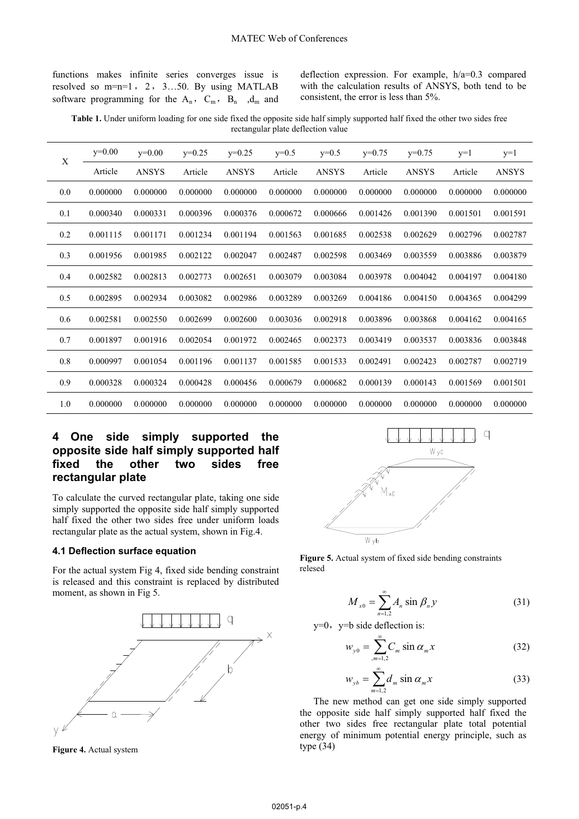functions makes infinite series converges issue is resolved so  $m=n=1$ , 2, 3...50. By using MATLAB software programming for the  $A_n$ ,  $C_m$ ,  $B_n$ ,  $d_m$  and deflection expression. For example, h/a=0.3 compared with the calculation results of ANSYS, both tend to be consistent, the error is less than 5%.

**Table 1.** Under uniform loading for one side fixed the opposite side half simply supported half fixed the other two sides free rectangular plate deflection value

| X   | $v=0.00$ | $y=0.00$     | $y=0.25$ | $y=0.25$ | $y=0.5$  | $v=0.5$  | $y=0.75$ | $y=0.75$ | $y=1$    | $y=1$    |
|-----|----------|--------------|----------|----------|----------|----------|----------|----------|----------|----------|
|     | Article  | <b>ANSYS</b> | Article  | ANSYS    | Article  | ANSYS    | Article  | ANSYS    | Article  | ANSYS    |
| 0.0 | 0.000000 | 0.000000     | 0.000000 | 0.000000 | 0.000000 | 0.000000 | 0.000000 | 0.000000 | 0.000000 | 0.000000 |
| 0.1 | 0.000340 | 0.000331     | 0.000396 | 0.000376 | 0.000672 | 0.000666 | 0.001426 | 0.001390 | 0.001501 | 0.001591 |
| 0.2 | 0.001115 | 0.001171     | 0.001234 | 0.001194 | 0.001563 | 0.001685 | 0.002538 | 0.002629 | 0.002796 | 0.002787 |
| 0.3 | 0.001956 | 0.001985     | 0.002122 | 0.002047 | 0.002487 | 0.002598 | 0.003469 | 0.003559 | 0.003886 | 0.003879 |
| 0.4 | 0.002582 | 0.002813     | 0.002773 | 0.002651 | 0.003079 | 0.003084 | 0.003978 | 0.004042 | 0.004197 | 0.004180 |
| 0.5 | 0.002895 | 0.002934     | 0.003082 | 0.002986 | 0.003289 | 0.003269 | 0.004186 | 0.004150 | 0.004365 | 0.004299 |
| 0.6 | 0.002581 | 0.002550     | 0.002699 | 0.002600 | 0.003036 | 0.002918 | 0.003896 | 0.003868 | 0.004162 | 0.004165 |
| 0.7 | 0.001897 | 0.001916     | 0.002054 | 0.001972 | 0.002465 | 0.002373 | 0.003419 | 0.003537 | 0.003836 | 0.003848 |
| 0.8 | 0.000997 | 0.001054     | 0.001196 | 0.001137 | 0.001585 | 0.001533 | 0.002491 | 0.002423 | 0.002787 | 0.002719 |
| 0.9 | 0.000328 | 0.000324     | 0.000428 | 0.000456 | 0.000679 | 0.000682 | 0.000139 | 0.000143 | 0.001569 | 0.001501 |
| 1.0 | 0.000000 | 0.000000     | 0.000000 | 0.000000 | 0.000000 | 0.000000 | 0.000000 | 0.000000 | 0.000000 | 0.000000 |

## **4 One side simply supported the opposite side half simply supported half fixed the other two sides free rectangular plate**

To calculate the curved rectangular plate, taking one side simply supported the opposite side half simply supported half fixed the other two sides free under uniform loads rectangular plate as the actual system, shown in Fig.4.

#### **4.1 Deflection surface equation**

For the actual system Fig 4, fixed side bending constraint is released and this constraint is replaced by distributed moment, as shown in Fig 5.



**Figure 4.** Actual system



**Figure 5.** Actual system of fixed side bending constraints relesed

$$
M_{x0} = \sum_{n=1,2}^{\infty} A_n \sin \beta_n y
$$
 (31)

 $y=0$ ,  $y=b$  side deflection is:

$$
w_{y0} = \sum_{m=1,2}^{\infty} C_m \sin \alpha_m x \tag{32}
$$

$$
w_{yb} = \sum_{m=1,2}^{\infty} d_m \sin \alpha_m x \tag{33}
$$

The new method can get one side simply supported the opposite side half simply supported half fixed the other two sides free rectangular plate total potential energy of minimum potential energy principle, such as type (34)